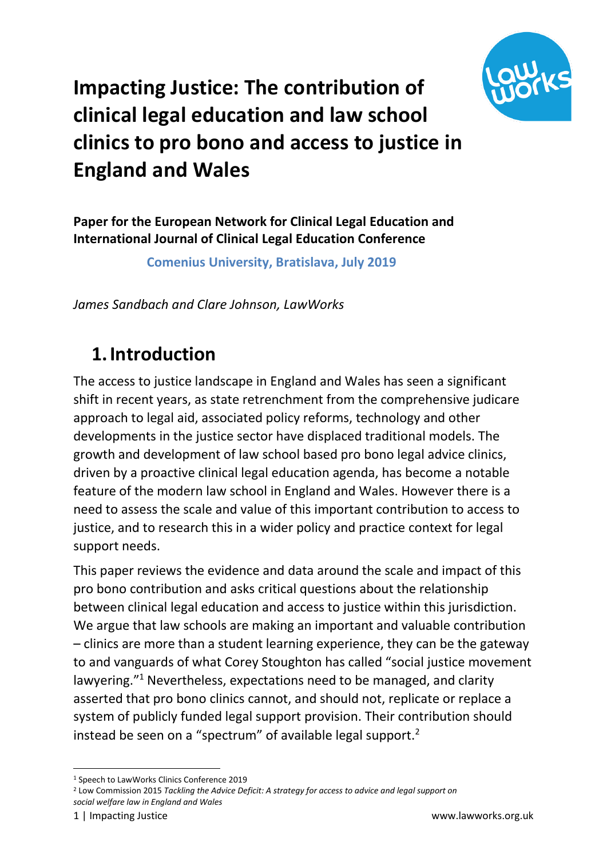

# **Impacting Justice: The contribution of clinical legal education and law school clinics to pro bono and access to justice in England and Wales**

**Paper for the European Network for Clinical Legal Education and International Journal of Clinical Legal Education Conference**

**Comenius University, Bratislava, July 2019** 

*James Sandbach and Clare Johnson, LawWorks*

#### **1.Introduction**

The access to justice landscape in England and Wales has seen a significant shift in recent years, as state retrenchment from the comprehensive judicare approach to legal aid, associated policy reforms, technology and other developments in the justice sector have displaced traditional models. The growth and development of law school based pro bono legal advice clinics, driven by a proactive clinical legal education agenda, has become a notable feature of the modern law school in England and Wales. However there is a need to assess the scale and value of this important contribution to access to justice, and to research this in a wider policy and practice context for legal support needs.

This paper reviews the evidence and data around the scale and impact of this pro bono contribution and asks critical questions about the relationship between clinical legal education and access to justice within this jurisdiction. We argue that law schools are making an important and valuable contribution – clinics are more than a student learning experience, they can be the gateway to and vanguards of what Corey Stoughton has called "social justice movement lawyering." <sup>1</sup> Nevertheless, expectations need to be managed, and clarity asserted that pro bono clinics cannot, and should not, replicate or replace a system of publicly funded legal support provision. Their contribution should instead be seen on a "spectrum" of available legal support.<sup>2</sup>

*social welfare law in England and Wales* 

1

<sup>1</sup> Speech to LawWorks Clinics Conference 2019

<sup>2</sup> Low Commission 2015 *Tackling the Advice Deficit: A strategy for access to advice and legal support on*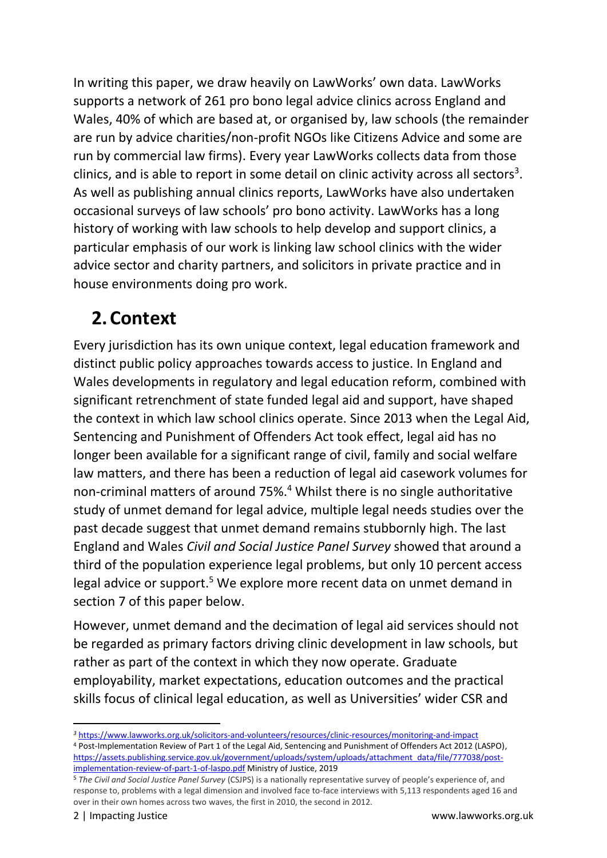In writing this paper, we draw heavily on LawWorks' own data. LawWorks supports a network of 261 pro bono legal advice clinics across England and Wales, 40% of which are based at, or organised by, law schools (the remainder are run by advice charities/non-profit NGOs like Citizens Advice and some are run by commercial law firms). Every year LawWorks collects data from those clinics, and is able to report in some detail on clinic activity across all sectors<sup>3</sup>. As well as publishing annual clinics reports, LawWorks have also undertaken occasional surveys of law schools' pro bono activity. LawWorks has a long history of working with law schools to help develop and support clinics, a particular emphasis of our work is linking law school clinics with the wider advice sector and charity partners, and solicitors in private practice and in house environments doing pro work.

# **2.Context**

Every jurisdiction has its own unique context, legal education framework and distinct public policy approaches towards access to justice. In England and Wales developments in regulatory and legal education reform, combined with significant retrenchment of state funded legal aid and support, have shaped the context in which law school clinics operate. Since 2013 when the Legal Aid, Sentencing and Punishment of Offenders Act took effect, legal aid has no longer been available for a significant range of civil, family and social welfare law matters, and there has been a reduction of legal aid casework volumes for non-criminal matters of around 75%. <sup>4</sup> Whilst there is no single authoritative study of unmet demand for legal advice, multiple legal needs studies over the past decade suggest that unmet demand remains stubbornly high. The last England and Wales *Civil and Social Justice Panel Survey* showed that around a third of the population experience legal problems, but only 10 percent access legal advice or support. <sup>5</sup> We explore more recent data on unmet demand in section 7 of this paper below.

However, unmet demand and the decimation of legal aid services should not be regarded as primary factors driving clinic development in law schools, but rather as part of the context in which they now operate. Graduate employability, market expectations, education outcomes and the practical skills focus of clinical legal education, as well as Universities' wider CSR and

*<sup>3</sup>* <https://www.lawworks.org.uk/solicitors-and-volunteers/resources/clinic-resources/monitoring-and-impact> <sup>4</sup> Post-Implementation Review of Part 1 of the Legal Aid, Sentencing and Punishment of Offenders Act 2012 (LASPO), [https://assets.publishing.service.gov.uk/government/uploads/system/uploads/attachment\\_data/file/777038/post](https://assets.publishing.service.gov.uk/government/uploads/system/uploads/attachment_data/file/777038/post-implementation-review-of-part-1-of-laspo.pdf)[implementation-review-of-part-1-of-laspo.pdf](https://assets.publishing.service.gov.uk/government/uploads/system/uploads/attachment_data/file/777038/post-implementation-review-of-part-1-of-laspo.pdf) Ministry of Justice, 2019

<sup>5</sup> *The Civil and Social Justice Panel Survey* (CSJPS) is a nationally representative survey of people's experience of, and response to, problems with a legal dimension and involved face to-face interviews with 5,113 respondents aged 16 and over in their own homes across two waves, the first in 2010, the second in 2012.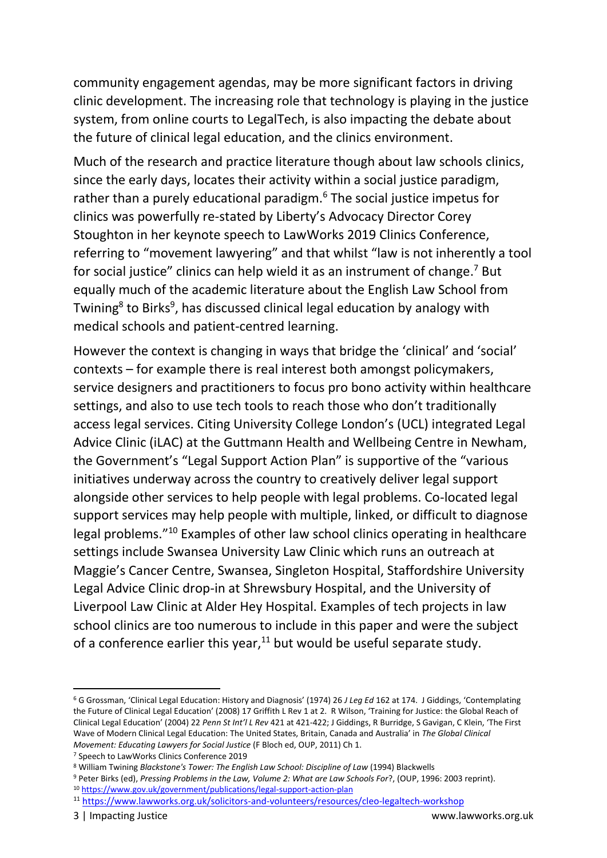community engagement agendas, may be more significant factors in driving clinic development. The increasing role that technology is playing in the justice system, from online courts to LegalTech, is also impacting the debate about the future of clinical legal education, and the clinics environment.

Much of the research and practice literature though about law schools clinics, since the early days, locates their activity within a social justice paradigm, rather than a purely educational paradigm.<sup>6</sup> The social justice impetus for clinics was powerfully re-stated by Liberty's Advocacy Director Corey Stoughton in her keynote speech to LawWorks 2019 Clinics Conference, referring to "movement lawyering" and that whilst "law is not inherently a tool for social justice" clinics can help wield it as an instrument of change.<sup>7</sup> But equally much of the academic literature about the English Law School from Twining<sup>8</sup> to Birks<sup>9</sup>, has discussed clinical legal education by analogy with medical schools and patient-centred learning.

However the context is changing in ways that bridge the 'clinical' and 'social' contexts – for example there is real interest both amongst policymakers, service designers and practitioners to focus pro bono activity within healthcare settings, and also to use tech tools to reach those who don't traditionally access legal services. Citing University College London's (UCL) integrated Legal Advice Clinic (iLAC) at the Guttmann Health and Wellbeing Centre in Newham, the Government's "Legal Support Action Plan" is supportive of the "various initiatives underway across the country to creatively deliver legal support alongside other services to help people with legal problems. Co-located legal support services may help people with multiple, linked, or difficult to diagnose legal problems."<sup>10</sup> Examples of other law school clinics operating in healthcare settings include Swansea University Law Clinic which runs an outreach at Maggie's Cancer Centre, Swansea, Singleton Hospital, Staffordshire University Legal Advice Clinic drop-in at Shrewsbury Hospital, and the University of Liverpool Law Clinic at Alder Hey Hospital. Examples of tech projects in law school clinics are too numerous to include in this paper and were the subject of a conference earlier this year, $^{11}$  but would be useful separate study.

<sup>6</sup> G Grossman, 'Clinical Legal Education: History and Diagnosis' (1974) 26 *J Leg Ed* 162 at 174. J Giddings, 'Contemplating the Future of Clinical Legal Education' (2008) 17 Griffith L Rev 1 at 2. R Wilson, 'Training for Justice: the Global Reach of Clinical Legal Education' (2004) 22 *Penn St Int'l L Rev* 421 at 421-422; J Giddings, R Burridge, S Gavigan, C Klein, 'The First Wave of Modern Clinical Legal Education: The United States, Britain, Canada and Australia' in *The Global Clinical Movement: Educating Lawyers for Social Justice* (F Bloch ed, OUP, 2011) Ch 1.

<sup>7</sup> Speech to LawWorks Clinics Conference 2019

<sup>8</sup> William Twining *Blackstone's Tower: The English Law School: Discipline of Law* (1994) Blackwells

<sup>9</sup> Peter Birks (ed), *Pressing Problems in the Law, Volume 2: What are Law Schools For*?, (OUP, 1996: 2003 reprint). <sup>10</sup> <https://www.gov.uk/government/publications/legal-support-action-plan>

<sup>11</sup> <https://www.lawworks.org.uk/solicitors-and-volunteers/resources/cleo-legaltech-workshop>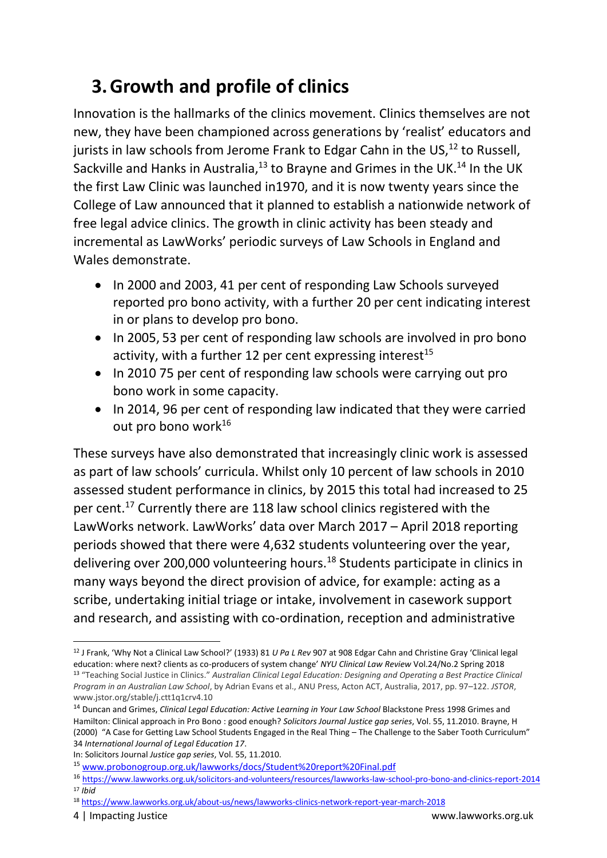# **3.Growth and profile of clinics**

Innovation is the hallmarks of the clinics movement. Clinics themselves are not new, they have been championed across generations by 'realist' educators and jurists in law schools from Jerome Frank to Edgar Cahn in the US, $^{12}$  to Russell, Sackville and Hanks in Australia, $^{13}$  to Brayne and Grimes in the UK. $^{14}$  In the UK the first Law Clinic was launched in1970, and it is now twenty years since the College of Law announced that it planned to establish a nationwide network of free legal advice clinics. The growth in clinic activity has been steady and incremental as LawWorks' periodic surveys of Law Schools in England and Wales demonstrate.

- In 2000 and 2003, 41 per cent of responding Law Schools surveyed reported pro bono activity, with a further 20 per cent indicating interest in or plans to develop pro bono.
- In 2005, 53 per cent of responding law schools are involved in pro bono activity, with a further 12 per cent expressing interest $15$
- In 2010 75 per cent of responding law schools were carrying out pro bono work in some capacity.
- In 2014, 96 per cent of responding law indicated that they were carried out pro bono work<sup>16</sup>

These surveys have also demonstrated that increasingly clinic work is assessed as part of law schools' curricula. Whilst only 10 percent of law schools in 2010 assessed student performance in clinics, by 2015 this total had increased to 25 per cent.<sup>17</sup> Currently there are 118 law school clinics registered with the LawWorks network. LawWorks' data over March 2017 – April 2018 reporting periods showed that there were 4,632 students volunteering over the year, delivering over 200,000 volunteering hours.<sup>18</sup> Students participate in clinics in many ways beyond the direct provision of advice, for example: acting as a scribe, undertaking initial triage or intake, involvement in casework support and research, and assisting with co-ordination, reception and administrative

1

<sup>12</sup> J Frank, 'Why Not a Clinical Law School?' (1933) 81 *U Pa L Rev* 907 at 908 Edgar Cahn and Christine Gray 'Clinical legal education: where next? clients as co-producers of system change' *NYU Clinical Law Review* Vol.24/No.2 Spring 2018 <sup>13</sup> "Teaching Social Justice in Clinics." *Australian Clinical Legal Education: Designing and Operating a Best Practice Clinical Program in an Australian Law School*, by Adrian Evans et al., ANU Press, Acton ACT, Australia, 2017, pp. 97–122. *JSTOR*, www.jstor.org/stable/j.ctt1q1crv4.10

<sup>14</sup> Duncan and Grimes, *Clinical Legal Education: Active Learning in Your Law School* Blackstone Press 1998 Grimes and Hamilton: Clinical approach in Pro Bono : good enough? *Solicitors Journal Justice gap series*, Vol. 55, 11.2010. Brayne, H (2000) "A Case for Getting Law School Students Engaged in the Real Thing – The Challenge to the Saber Tooth Curriculum" 34 *International Journal of Legal Education 17*.

In: Solicitors Journal *Justice gap series*, Vol. 55, 11.2010.

<sup>15</sup> [www.probonogroup.org.uk/lawworks/docs/Student%20report%20Final.pdf](http://www.probonogroup.org.uk/lawworks/docs/Student%20report%20Final.pdf)

<sup>16</sup> <https://www.lawworks.org.uk/solicitors-and-volunteers/resources/lawworks-law-school-pro-bono-and-clinics-report-2014> <sup>17</sup> *Ibid*

<sup>18</sup> <https://www.lawworks.org.uk/about-us/news/lawworks-clinics-network-report-year-march-2018>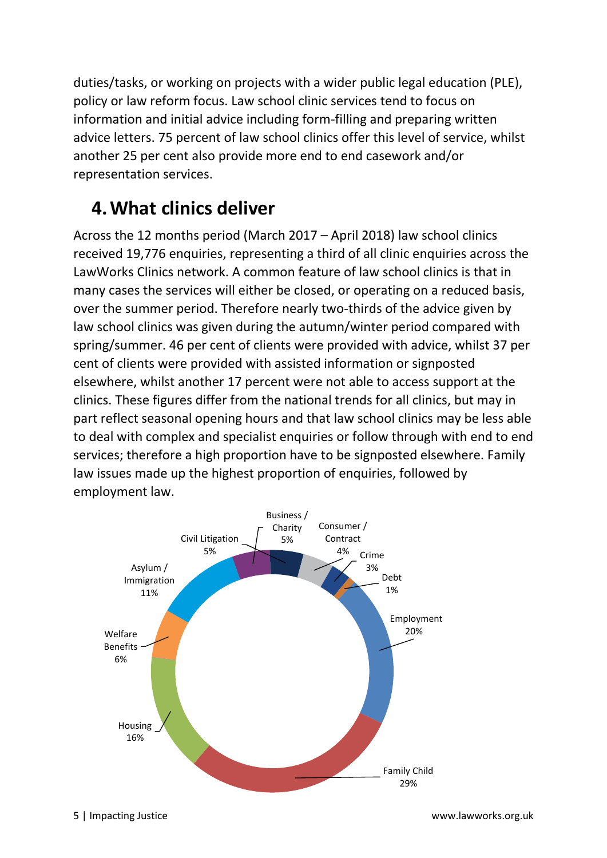duties/tasks, or working on projects with a wider public legal education (PLE), policy or law reform focus. Law school clinic services tend to focus on information and initial advice including form-filling and preparing written advice letters. 75 percent of law school clinics offer this level of service, whilst another 25 per cent also provide more end to end casework and/or representation services.

#### **4.What clinics deliver**

Across the 12 months period (March 2017 – April 2018) law school clinics received 19,776 enquiries, representing a third of all clinic enquiries across the LawWorks Clinics network. A common feature of law school clinics is that in many cases the services will either be closed, or operating on a reduced basis, over the summer period. Therefore nearly two-thirds of the advice given by law school clinics was given during the autumn/winter period compared with spring/summer. 46 per cent of clients were provided with advice, whilst 37 per cent of clients were provided with assisted information or signposted elsewhere, whilst another 17 percent were not able to access support at the clinics. These figures differ from the national trends for all clinics, but may in part reflect seasonal opening hours and that law school clinics may be less able to deal with complex and specialist enquiries or follow through with end to end services; therefore a high proportion have to be signposted elsewhere. Family law issues made up the highest proportion of enquiries, followed by employment law.

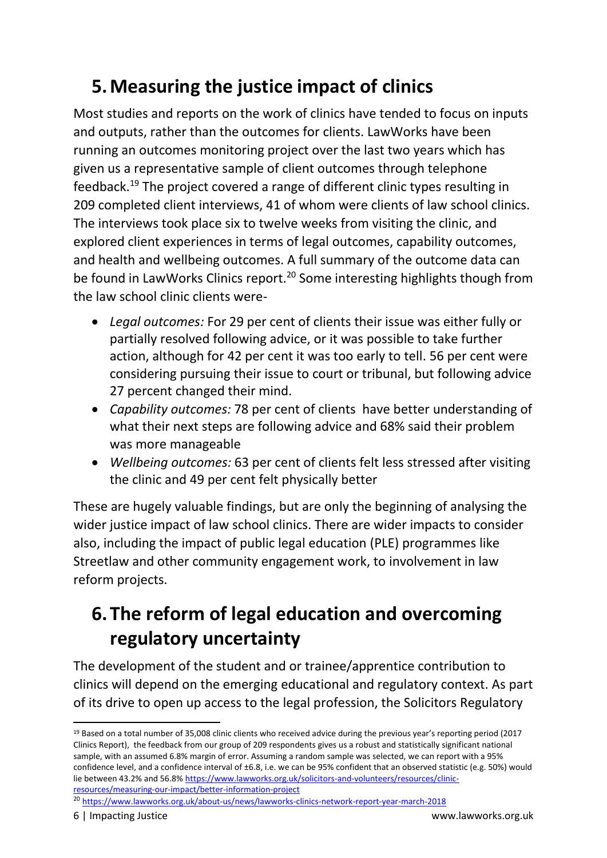# **5.Measuring the justice impact of clinics**

Most studies and reports on the work of clinics have tended to focus on inputs and outputs, rather than the outcomes for clients. LawWorks have been running an outcomes monitoring project over the last two years which has given us a representative sample of client outcomes through telephone feedback.<sup>19</sup> The project covered a range of different clinic types resulting in 209 completed client interviews, 41 of whom were clients of law school clinics. The interviews took place six to twelve weeks from visiting the clinic, and explored client experiences in terms of legal outcomes, capability outcomes, and health and wellbeing outcomes. A full summary of the outcome data can be found in LawWorks Clinics report.<sup>20</sup> Some interesting highlights though from the law school clinic clients were-

- *Legal outcomes:* For 29 per cent of clients their issue was either fully or partially resolved following advice, or it was possible to take further action, although for 42 per cent it was too early to tell. 56 per cent were considering pursuing their issue to court or tribunal, but following advice 27 percent changed their mind.
- *Capability outcomes:* 78 per cent of clients have better understanding of what their next steps are following advice and 68% said their problem was more manageable
- *Wellbeing outcomes:* 63 per cent of clients felt less stressed after visiting the clinic and 49 per cent felt physically better

These are hugely valuable findings, but are only the beginning of analysing the wider justice impact of law school clinics. There are wider impacts to consider also, including the impact of public legal education (PLE) programmes like Streetlaw and other community engagement work, to involvement in law reform projects.

## **6.The reform of legal education and overcoming regulatory uncertainty**

The development of the student and or trainee/apprentice contribution to clinics will depend on the emerging educational and regulatory context. As part of its drive to open up access to the legal profession, the Solicitors Regulatory

<sup>20</sup> <https://www.lawworks.org.uk/about-us/news/lawworks-clinics-network-report-year-march-2018>

<sup>&</sup>lt;sup>19</sup> Based on a total number of 35,008 clinic clients who received advice during the previous year's reporting period (2017 Clinics Report), the feedback from our group of 209 respondents gives us a robust and statistically significant national sample, with an assumed 6.8% margin of error. Assuming a random sample was selected, we can report with a 95% confidence level, and a confidence interval of ±6.8, i.e. we can be 95% confident that an observed statistic (e.g. 50%) would lie between 43.2% and 56.8% [https://www.lawworks.org.uk/solicitors-and-volunteers/resources/clinic](https://www.lawworks.org.uk/solicitors-and-volunteers/resources/clinic-resources/measuring-our-impact/better-information-project)[resources/measuring-our-impact/better-information-project](https://www.lawworks.org.uk/solicitors-and-volunteers/resources/clinic-resources/measuring-our-impact/better-information-project)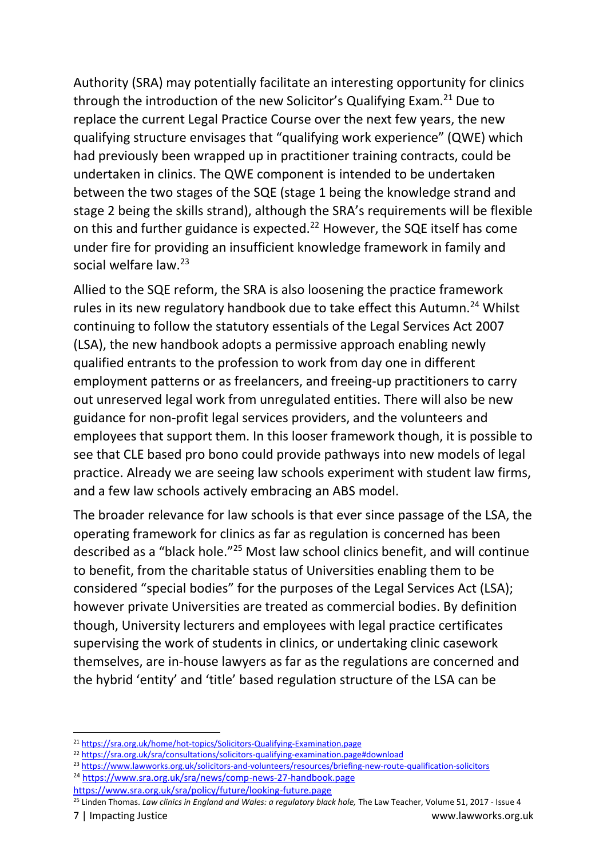Authority (SRA) may potentially facilitate an interesting opportunity for clinics through the introduction of the new Solicitor's Qualifying Exam.<sup>21</sup> Due to replace the current Legal Practice Course over the next few years, the new qualifying structure envisages that "qualifying work experience" (QWE) which had previously been wrapped up in practitioner training contracts, could be undertaken in clinics. The QWE component is intended to be undertaken between the two stages of the SQE (stage 1 being the knowledge strand and stage 2 being the skills strand), although the SRA's requirements will be flexible on this and further guidance is expected.<sup>22</sup> However, the SQE itself has come under fire for providing an insufficient knowledge framework in family and social welfare law.<sup>23</sup>

Allied to the SQE reform, the SRA is also loosening the practice framework rules in its new regulatory handbook due to take effect this Autumn.<sup>24</sup> Whilst continuing to follow the statutory essentials of the Legal Services Act 2007 (LSA), the new handbook adopts a permissive approach enabling newly qualified entrants to the profession to work from day one in different employment patterns or as freelancers, and freeing-up practitioners to carry out unreserved legal work from unregulated entities. There will also be new guidance for non-profit legal services providers, and the volunteers and employees that support them. In this looser framework though, it is possible to see that CLE based pro bono could provide pathways into new models of legal practice. Already we are seeing law schools experiment with student law firms, and a few law schools actively embracing an ABS model.

The broader relevance for law schools is that ever since passage of the LSA, the operating framework for clinics as far as regulation is concerned has been described as a "black hole."<sup>25</sup> Most law school clinics benefit, and will continue to benefit, from the charitable status of Universities enabling them to be considered "special bodies" for the purposes of the Legal Services Act (LSA); however private Universities are treated as commercial bodies. By definition though, University lecturers and employees with legal practice certificates supervising the work of students in clinics, or undertaking clinic casework themselves, are in-house lawyers as far as the regulations are concerned and the hybrid 'entity' and 'title' based regulation structure of the LSA can be

- <sup>23</sup> <https://www.lawworks.org.uk/solicitors-and-volunteers/resources/briefing-new-route-qualification-solicitors>
- <sup>24</sup> <https://www.sra.org.uk/sra/news/comp-news-27-handbook.page>
- <https://www.sra.org.uk/sra/policy/future/looking-future.page>
- 7 | Impacting Justice www.lawworks.org.uk <sup>25</sup> Linden Thomas. *Law clinics in England and Wales: a regulatory black hole,* The Law Teacher, Volume 51, 2017 - Issue 4

<sup>21</sup> <https://sra.org.uk/home/hot-topics/Solicitors-Qualifying-Examination.page>

<sup>&</sup>lt;sup>22</sup> <https://sra.org.uk/sra/consultations/solicitors-qualifying-examination.page#download>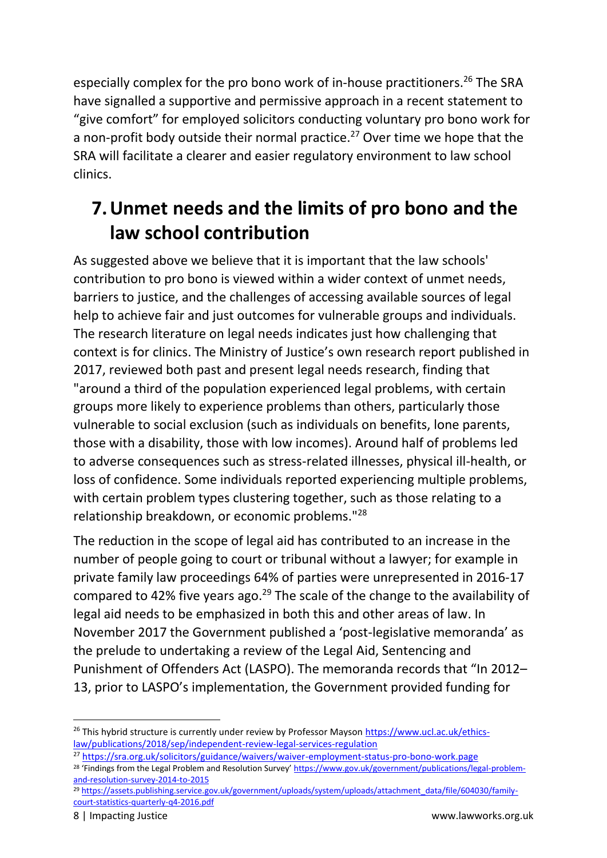especially complex for the pro bono work of in-house practitioners. <sup>26</sup> The SRA have signalled a supportive and permissive approach in a recent statement to "give comfort" for employed solicitors conducting voluntary pro bono work for a non-profit body outside their normal practice.<sup>27</sup> Over time we hope that the SRA will facilitate a clearer and easier regulatory environment to law school clinics.

### **7.Unmet needs and the limits of pro bono and the law school contribution**

As suggested above we believe that it is important that the law schools' contribution to pro bono is viewed within a wider context of unmet needs, barriers to justice, and the challenges of accessing available sources of legal help to achieve fair and just outcomes for vulnerable groups and individuals. The research literature on legal needs indicates just how challenging that context is for clinics. The Ministry of Justice's own research report published in 2017, reviewed both past and present legal needs research, finding that "around a third of the population experienced legal problems, with certain groups more likely to experience problems than others, particularly those vulnerable to social exclusion (such as individuals on benefits, lone parents, those with a disability, those with low incomes). Around half of problems led to adverse consequences such as stress-related illnesses, physical ill-health, or loss of confidence. Some individuals reported experiencing multiple problems, with certain problem types clustering together, such as those relating to a relationship breakdown, or economic problems."<sup>28</sup>

The reduction in the scope of legal aid has contributed to an increase in the number of people going to court or tribunal without a lawyer; for example in private family law proceedings 64% of parties were unrepresented in 2016-17 compared to 42% five years ago.<sup>29</sup> The scale of the change to the availability of legal aid needs to be emphasized in both this and other areas of law. In November 2017 the Government published a 'post-legislative memoranda' as the prelude to undertaking a review of the Legal Aid, Sentencing and Punishment of Offenders Act (LASPO). The memoranda records that "In 2012– 13, prior to LASPO's implementation, the Government provided funding for

 $\overline{a}$ 

<sup>&</sup>lt;sup>26</sup> This hybrid structure is currently under review by Professor Mayson [https://www.ucl.ac.uk/ethics](https://www.ucl.ac.uk/ethics-law/publications/2018/sep/independent-review-legal-services-regulation)[law/publications/2018/sep/independent-review-legal-services-regulation](https://www.ucl.ac.uk/ethics-law/publications/2018/sep/independent-review-legal-services-regulation)

<sup>27</sup> <https://sra.org.uk/solicitors/guidance/waivers/waiver-employment-status-pro-bono-work.page>

<sup>&</sup>lt;sup>28</sup> 'Findings from the Legal Problem and Resolution Survey' [https://www.gov.uk/government/publications/legal-problem](https://www.gov.uk/government/publications/legal-problem-and-resolution-survey-2014-to-2015)[and-resolution-survey-2014-to-2015](https://www.gov.uk/government/publications/legal-problem-and-resolution-survey-2014-to-2015)

<sup>29</sup> [https://assets.publishing.service.gov.uk/government/uploads/system/uploads/attachment\\_data/file/604030/family](https://assets.publishing.service.gov.uk/government/uploads/system/uploads/attachment_data/file/604030/family-court-statistics-quarterly-q4-2016.pdf)[court-statistics-quarterly-q4-2016.pdf](https://assets.publishing.service.gov.uk/government/uploads/system/uploads/attachment_data/file/604030/family-court-statistics-quarterly-q4-2016.pdf)